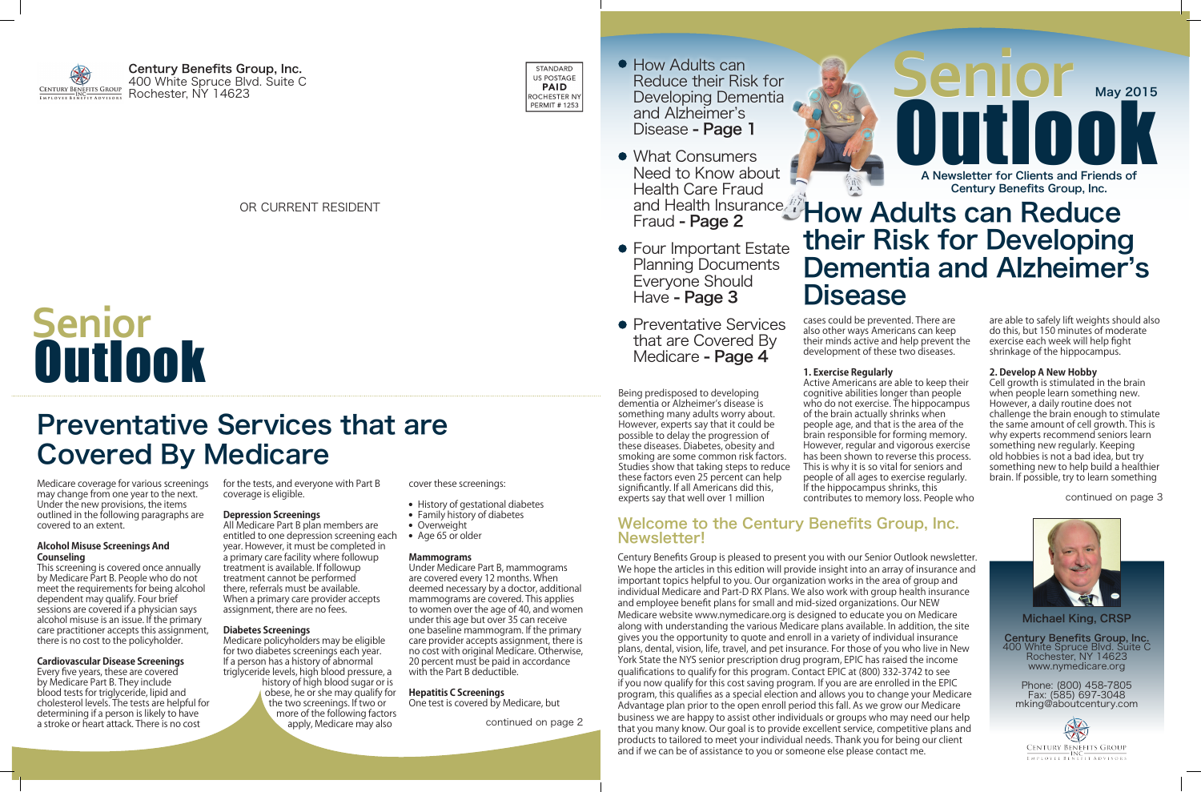Welcome to the Century Benefits Group, Inc. Newsletter!

Century Benefits Group is pleased to present you with our Senior Outlook newsletter. We hope the articles in this edition will provide insight into an array of insurance and important topics helpful to you. Our organization works in the area of group and individual Medicare and Part-D RX Plans. We also work with group health insurance and employee benefit plans for small and mid-sized organizations. Our NEW Medicare website www.nymedicare.org is designed to educate you on Medicare along with understanding the various Medicare plans available. In addition, the site gives you the opportunity to quote and enroll in a variety of individual insurance plans, dental, vision, life, travel, and pet insurance. For those of you who live in New York State the NYS senior prescription drug program, EPIC has raised the income qualifications to qualify for this program. Contact EPIC at (800) 332-3742 to see if you now qualify for this cost saving program. If you are are enrolled in the EPIC program, this qualifies as a special election and allows you to change your Medicare Advantage plan prior to the open enroll period this fall. As we grow our Medicare business we are happy to assist other individuals or groups who may need our help that you many know. Our goal is to provide excellent service, competitive plans and products to tailored to meet your individual needs. Thank you for being our client and if we can be of assistance to you or someone else please contact me.

Active Americans are able to keep their cognitive abilities longer than people who do not exercise. The hippocampus of the brain actually shrinks when people age, and that is the area of the brain responsible for forming memory. However, regular and vigorous exercise has been shown to reverse this process. This is why it is so vital for seniors and people of all ages to exercise regularly. If the hippocampus shrinks, this contributes to memory loss. People who continued on page 3

# **OUTLOOK** Senior May 2015 A Newsletter for Clients and Friends of Century Benefits Group, Inc.

### OR CURRENT RESIDENT **Example 2** and Health Insurance **How Adults can Reduce** their Risk for Developing Dementia and Alzheimer's **Disease**

Being predisposed to developing dementia or Alzheimer's disease is something many adults worry about. However, experts say that it could be possible to delay the progression of these diseases. Diabetes, obesity and smoking are some common risk factors. Studies show that taking steps to reduce these factors even 25 percent can help significantly. If all Americans did this, experts say that well over 1 million

cases could be prevented. There are also other ways Americans can keep their minds active and help prevent the development of these two diseases.

### **1. Exercise Regularly**

are able to safely lift weights should also do this, but 150 minutes of moderate exercise each week will help fight shrinkage of the hippocampus.

### **2. Develop A New Hobby**

Cell growth is stimulated in the brain when people learn something new. However, a daily routine does not challenge the brain enough to stimulate the same amount of cell growth. This is why experts recommend seniors learn something new regularly. Keeping old hobbies is not a bad idea, but try something new to help build a healthier brain. If possible, try to learn something



## Preventative Services that are Covered By Medicare

Medicare coverage for various screenings for the tests, and everyone with Part B may change from one year to the next. Under the new provisions, the items outlined in the following paragraphs are covered to an extent.

#### **Alcohol Misuse Screenings And Counseling**

This screening is covered once annually by Medicare Part B. People who do not meet the requirements for being alcohol dependent may qualify. Four brief sessions are covered if a physician says alcohol misuse is an issue. If the primary care practitioner accepts this assignment, there is no cost to the policyholder.

### **Cardiovascular Disease Screenings**

Every five years, these are covered by Medicare Part B. They include blood tests for triglyceride, lipid and cholesterol levels. The tests are helpful for determining if a person is likely to have a stroke or heart attack. There is no cost

coverage is eligible.

#### **Depression Screenings**

All Medicare Part B plan members are entitled to one depression screening each  $\quad \bullet \quad$  Age 65 or older year. However, it must be completed in a primary care facility where followup treatment is available. If followup treatment cannot be performed there, referrals must be available. When a primary care provider accepts assignment, there are no fees.

#### **Diabetes Screenings**

Medicare policyholders may be eligible for two diabetes screenings each year. If a person has a history of abnormal triglyceride levels, high blood pressure, a history of high blood sugar or is obese, he or she may qualify for the two screenings. If two or more of the following factors apply, Medicare may also

cover these screenings:

- History of gestational diabetes
- Family history of diabetes
- Overweight
- 

#### **Mammograms**

Under Medicare Part B, mammograms are covered every 12 months. When deemed necessary by a doctor, additional mammograms are covered. This applies to women over the age of 40, and women under this age but over 35 can receive one baseline mammogram. If the primary care provider accepts assignment, there is no cost with original Medicare. Otherwise, 20 percent must be paid in accordance with the Part B deductible.

#### **Hepatitis C Screenings**

One test is covered by Medicare, but

continued on page 2

# Outlook **Senior**

Century Benefits Group, Inc. 400 White Spruce Blvd. Suite C

STANDARD US POSTAGE **PAID** ROCHESTER NY **PERMIT # 1253** 

- How Adults can Reduce their Risk for Developing Dementia and Alzheimer's Disease - Page 1
- What Consumers Need to Know about Health Care Fraud and Health Insurance Fraud - Page 2
- **Four Important Estate** Planning Documents Everyone Should Have - Page 3
- Preventative Services that are Covered By Medicare - Page 4